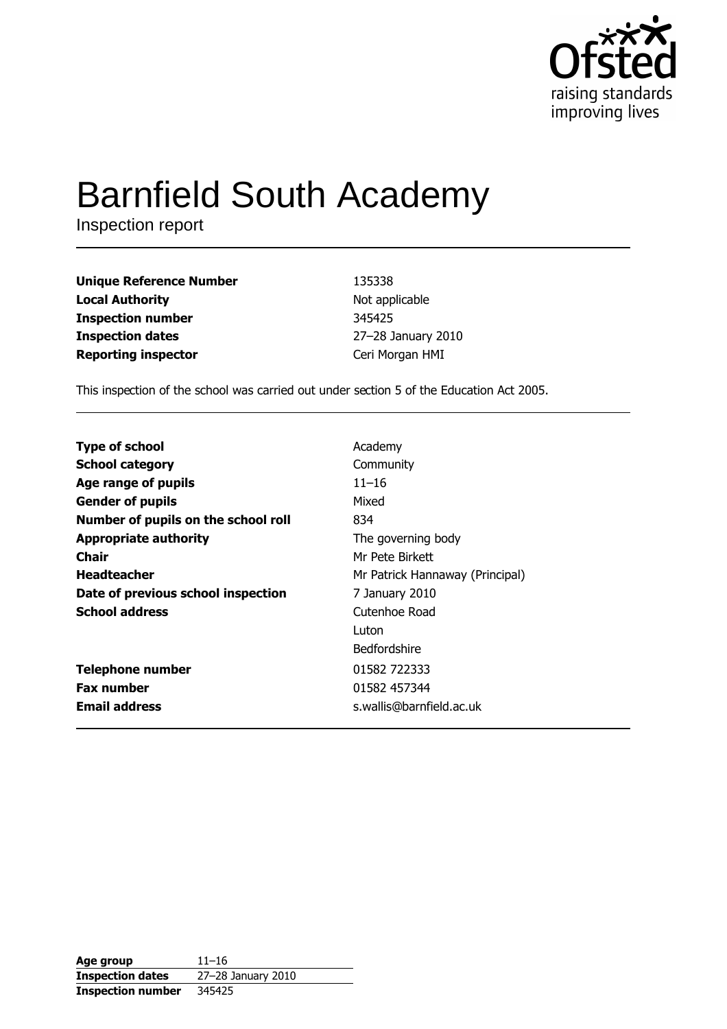

# **Barnfield South Academy**

Inspection report

| <b>Unique Reference Number</b> | 135338             |
|--------------------------------|--------------------|
| <b>Local Authority</b>         | Not applicable     |
| <b>Inspection number</b>       | 345425             |
| <b>Inspection dates</b>        | 27-28 January 2010 |
| <b>Reporting inspector</b>     | Ceri Morgan HMI    |

This inspection of the school was carried out under section 5 of the Education Act 2005.

| <b>Type of school</b>               | Academy                         |
|-------------------------------------|---------------------------------|
| <b>School category</b>              | Community                       |
| Age range of pupils                 | $11 - 16$                       |
| <b>Gender of pupils</b>             | Mixed                           |
| Number of pupils on the school roll | 834                             |
| <b>Appropriate authority</b>        | The governing body              |
| Chair                               | Mr Pete Birkett                 |
| <b>Headteacher</b>                  | Mr Patrick Hannaway (Principal) |
| Date of previous school inspection  | 7 January 2010                  |
| <b>School address</b>               | Cutenhoe Road                   |
|                                     | Luton                           |
|                                     | <b>Bedfordshire</b>             |
| <b>Telephone number</b>             | 01582 722333                    |
| <b>Fax number</b>                   | 01582 457344                    |
| <b>Email address</b>                | s.wallis@barnfield.ac.uk        |

| Age group                | $11 - 16$          |
|--------------------------|--------------------|
| <b>Inspection dates</b>  | 27-28 January 2010 |
| <b>Inspection number</b> | 345425             |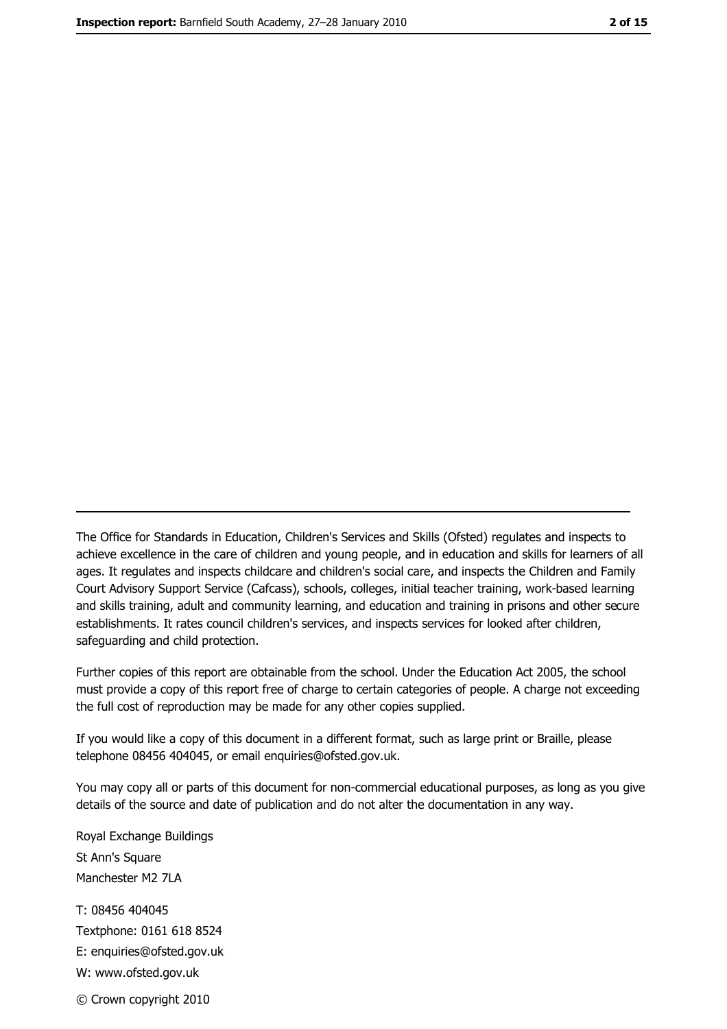The Office for Standards in Education, Children's Services and Skills (Ofsted) regulates and inspects to achieve excellence in the care of children and young people, and in education and skills for learners of all ages. It regulates and inspects childcare and children's social care, and inspects the Children and Family Court Advisory Support Service (Cafcass), schools, colleges, initial teacher training, work-based learning and skills training, adult and community learning, and education and training in prisons and other secure establishments. It rates council children's services, and inspects services for looked after children, safequarding and child protection.

Further copies of this report are obtainable from the school. Under the Education Act 2005, the school must provide a copy of this report free of charge to certain categories of people. A charge not exceeding the full cost of reproduction may be made for any other copies supplied.

If you would like a copy of this document in a different format, such as large print or Braille, please telephone 08456 404045, or email enquiries@ofsted.gov.uk.

You may copy all or parts of this document for non-commercial educational purposes, as long as you give details of the source and date of publication and do not alter the documentation in any way.

Royal Exchange Buildings St Ann's Square Manchester M2 7LA T: 08456 404045 Textphone: 0161 618 8524 E: enquiries@ofsted.gov.uk W: www.ofsted.gov.uk © Crown copyright 2010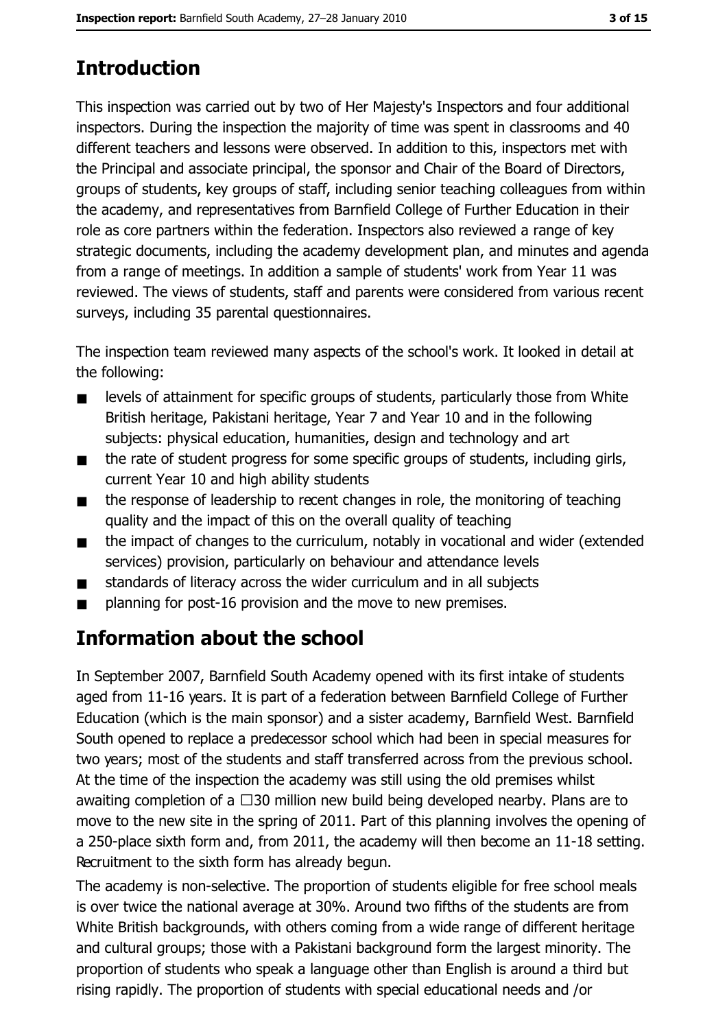# **Introduction**

This inspection was carried out by two of Her Majesty's Inspectors and four additional inspectors. During the inspection the majority of time was spent in classrooms and 40 different teachers and lessons were observed. In addition to this, inspectors met with the Principal and associate principal, the sponsor and Chair of the Board of Directors, groups of students, key groups of staff, including senior teaching colleagues from within the academy, and representatives from Barnfield College of Further Education in their role as core partners within the federation. Inspectors also reviewed a range of key strategic documents, including the academy development plan, and minutes and agenda from a range of meetings. In addition a sample of students' work from Year 11 was reviewed. The views of students, staff and parents were considered from various recent surveys, including 35 parental questionnaires.

The inspection team reviewed many aspects of the school's work. It looked in detail at the following:

- levels of attainment for specific groups of students, particularly those from White  $\blacksquare$ British heritage, Pakistani heritage, Year 7 and Year 10 and in the following subjects: physical education, humanities, design and technology and art
- the rate of student progress for some specific groups of students, including girls,  $\blacksquare$ current Year 10 and high ability students
- the response of leadership to recent changes in role, the monitoring of teaching  $\blacksquare$ quality and the impact of this on the overall quality of teaching
- the impact of changes to the curriculum, notably in vocational and wider (extended  $\blacksquare$ services) provision, particularly on behaviour and attendance levels
- standards of literacy across the wider curriculum and in all subjects  $\blacksquare$
- planning for post-16 provision and the move to new premises.  $\blacksquare$

# Information about the school

In September 2007, Barnfield South Academy opened with its first intake of students aged from 11-16 years. It is part of a federation between Barnfield College of Further Education (which is the main sponsor) and a sister academy, Barnfield West. Barnfield South opened to replace a predecessor school which had been in special measures for two years; most of the students and staff transferred across from the previous school. At the time of the inspection the academy was still using the old premises whilst awaiting completion of a  $\Box$ 30 million new build being developed nearby. Plans are to move to the new site in the spring of 2011. Part of this planning involves the opening of a 250-place sixth form and, from 2011, the academy will then become an 11-18 setting. Recruitment to the sixth form has already begun.

The academy is non-selective. The proportion of students eligible for free school meals is over twice the national average at 30%. Around two fifths of the students are from White British backgrounds, with others coming from a wide range of different heritage and cultural groups; those with a Pakistani background form the largest minority. The proportion of students who speak a language other than English is around a third but rising rapidly. The proportion of students with special educational needs and /or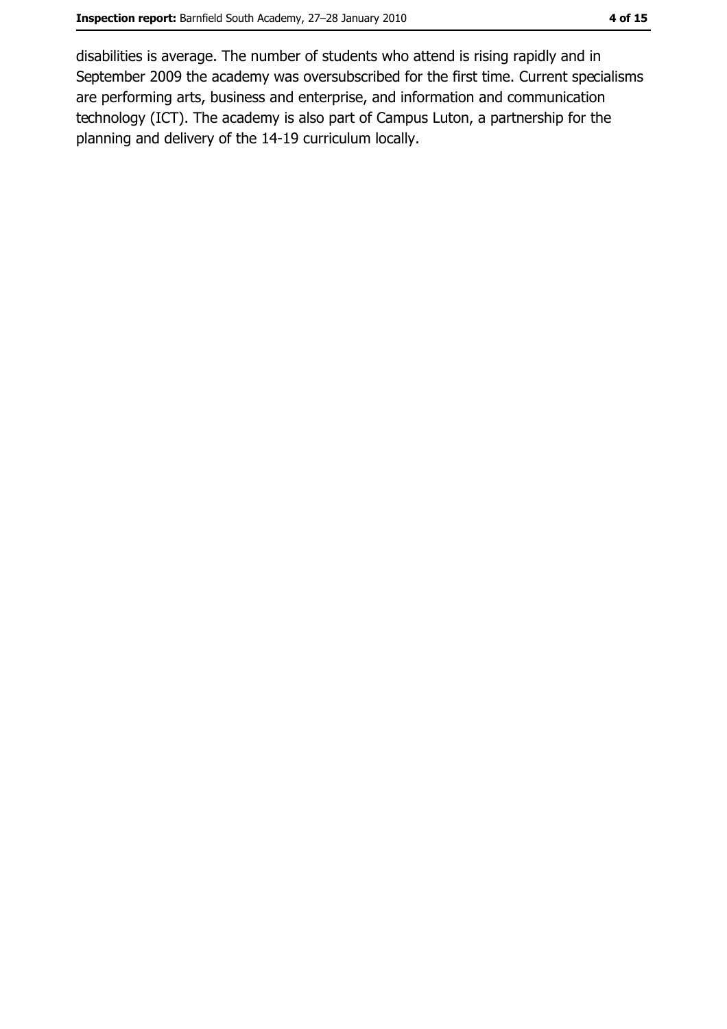disabilities is average. The number of students who attend is rising rapidly and in September 2009 the academy was oversubscribed for the first time. Current specialisms are performing arts, business and enterprise, and information and communication technology (ICT). The academy is also part of Campus Luton, a partnership for the planning and delivery of the 14-19 curriculum locally.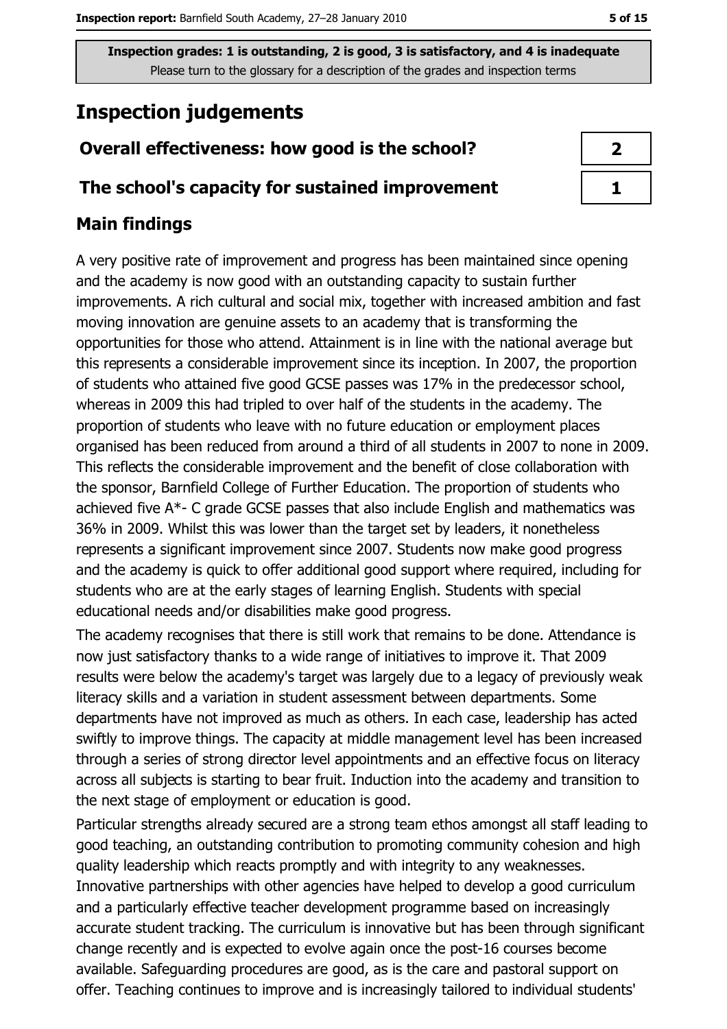# **Inspection judgements**

# Overall effectiveness: how good is the school?

## The school's capacity for sustained improvement

## **Main findings**

A very positive rate of improvement and progress has been maintained since opening and the academy is now good with an outstanding capacity to sustain further improvements. A rich cultural and social mix, together with increased ambition and fast moving innovation are genuine assets to an academy that is transforming the opportunities for those who attend. Attainment is in line with the national average but this represents a considerable improvement since its inception. In 2007, the proportion of students who attained five good GCSE passes was 17% in the predecessor school, whereas in 2009 this had tripled to over half of the students in the academy. The proportion of students who leave with no future education or employment places organised has been reduced from around a third of all students in 2007 to none in 2009. This reflects the considerable improvement and the benefit of close collaboration with the sponsor, Barnfield College of Further Education. The proportion of students who achieved five A\*- C grade GCSE passes that also include English and mathematics was 36% in 2009. Whilst this was lower than the target set by leaders, it nonetheless represents a significant improvement since 2007. Students now make good progress and the academy is quick to offer additional good support where required, including for students who are at the early stages of learning English. Students with special educational needs and/or disabilities make good progress.

The academy recognises that there is still work that remains to be done. Attendance is now just satisfactory thanks to a wide range of initiatives to improve it. That 2009 results were below the academy's target was largely due to a legacy of previously weak literacy skills and a variation in student assessment between departments. Some departments have not improved as much as others. In each case, leadership has acted swiftly to improve things. The capacity at middle management level has been increased through a series of strong director level appointments and an effective focus on literacy across all subjects is starting to bear fruit. Induction into the academy and transition to the next stage of employment or education is good.

Particular strengths already secured are a strong team ethos amongst all staff leading to good teaching, an outstanding contribution to promoting community cohesion and high quality leadership which reacts promptly and with integrity to any weaknesses. Innovative partnerships with other agencies have helped to develop a good curriculum and a particularly effective teacher development programme based on increasingly accurate student tracking. The curriculum is innovative but has been through significant change recently and is expected to evolve again once the post-16 courses become available. Safequarding procedures are good, as is the care and pastoral support on offer. Teaching continues to improve and is increasingly tailored to individual students'

| 2 |
|---|
| ٦ |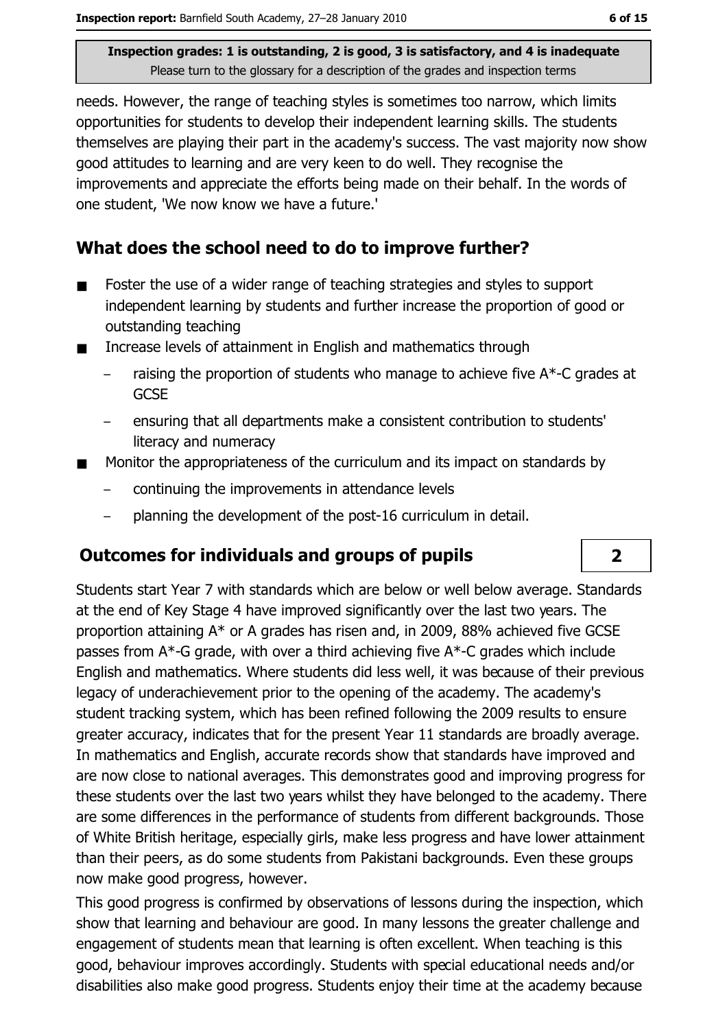needs. However, the range of teaching styles is sometimes too narrow, which limits opportunities for students to develop their independent learning skills. The students themselves are playing their part in the academy's success. The vast majority now show good attitudes to learning and are very keen to do well. They recognise the improvements and appreciate the efforts being made on their behalf. In the words of one student, 'We now know we have a future.'

## What does the school need to do to improve further?

- Foster the use of a wider range of teaching strategies and styles to support  $\blacksquare$ independent learning by students and further increase the proportion of good or outstanding teaching
- Increase levels of attainment in English and mathematics through  $\blacksquare$ 
	- raising the proportion of students who manage to achieve five A\*-C grades at **GCSE**
	- ensuring that all departments make a consistent contribution to students' literacy and numeracy
- Monitor the appropriateness of the curriculum and its impact on standards by  $\blacksquare$ 
	- continuing the improvements in attendance levels
	- planning the development of the post-16 curriculum in detail.

## **Outcomes for individuals and groups of pupils**

Students start Year 7 with standards which are below or well below average. Standards at the end of Key Stage 4 have improved significantly over the last two years. The proportion attaining A\* or A grades has risen and, in 2009, 88% achieved five GCSE passes from A\*-G grade, with over a third achieving five A\*-C grades which include English and mathematics. Where students did less well, it was because of their previous legacy of underachievement prior to the opening of the academy. The academy's student tracking system, which has been refined following the 2009 results to ensure greater accuracy, indicates that for the present Year 11 standards are broadly average. In mathematics and English, accurate records show that standards have improved and are now close to national averages. This demonstrates good and improving progress for these students over the last two years whilst they have belonged to the academy. There are some differences in the performance of students from different backgrounds. Those of White British heritage, especially girls, make less progress and have lower attainment than their peers, as do some students from Pakistani backgrounds. Even these groups now make good progress, however.

This good progress is confirmed by observations of lessons during the inspection, which show that learning and behaviour are good. In many lessons the greater challenge and engagement of students mean that learning is often excellent. When teaching is this good, behaviour improves accordingly. Students with special educational needs and/or disabilities also make good progress. Students enjoy their time at the academy because

 $\overline{2}$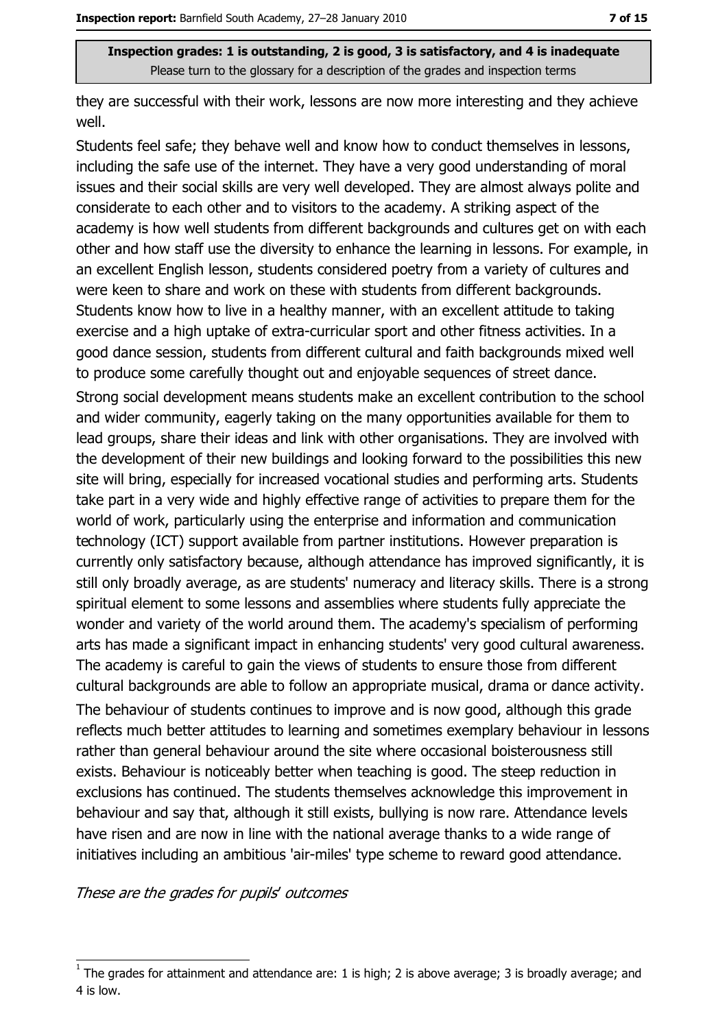they are successful with their work, lessons are now more interesting and they achieve well.

Students feel safe; they behave well and know how to conduct themselves in lessons, including the safe use of the internet. They have a very good understanding of moral issues and their social skills are very well developed. They are almost always polite and considerate to each other and to visitors to the academy. A striking aspect of the academy is how well students from different backgrounds and cultures get on with each other and how staff use the diversity to enhance the learning in lessons. For example, in an excellent English lesson, students considered poetry from a variety of cultures and were keen to share and work on these with students from different backgrounds. Students know how to live in a healthy manner, with an excellent attitude to taking exercise and a high uptake of extra-curricular sport and other fitness activities. In a good dance session, students from different cultural and faith backgrounds mixed well to produce some carefully thought out and enjoyable sequences of street dance. Strong social development means students make an excellent contribution to the school and wider community, eagerly taking on the many opportunities available for them to lead groups, share their ideas and link with other organisations. They are involved with the development of their new buildings and looking forward to the possibilities this new site will bring, especially for increased vocational studies and performing arts. Students take part in a very wide and highly effective range of activities to prepare them for the world of work, particularly using the enterprise and information and communication technology (ICT) support available from partner institutions. However preparation is currently only satisfactory because, although attendance has improved significantly, it is still only broadly average, as are students' numeracy and literacy skills. There is a strong spiritual element to some lessons and assemblies where students fully appreciate the wonder and variety of the world around them. The academy's specialism of performing arts has made a significant impact in enhancing students' very good cultural awareness. The academy is careful to gain the views of students to ensure those from different cultural backgrounds are able to follow an appropriate musical, drama or dance activity.

The behaviour of students continues to improve and is now good, although this grade reflects much better attitudes to learning and sometimes exemplary behaviour in lessons rather than general behaviour around the site where occasional boisterousness still exists. Behaviour is noticeably better when teaching is good. The steep reduction in exclusions has continued. The students themselves acknowledge this improvement in behaviour and say that, although it still exists, bullying is now rare. Attendance levels have risen and are now in line with the national average thanks to a wide range of initiatives including an ambitious 'air-miles' type scheme to reward good attendance.

These are the grades for pupils' outcomes

The grades for attainment and attendance are: 1 is high; 2 is above average; 3 is broadly average; and 4 is low.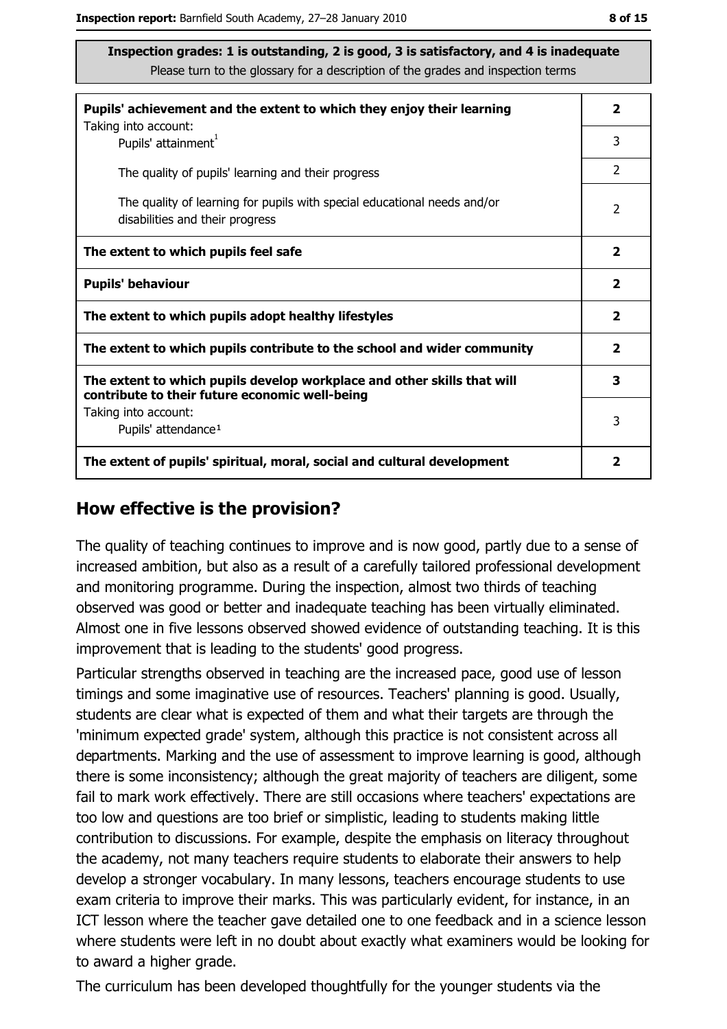| Pupils' achievement and the extent to which they enjoy their learning                                                     |                |
|---------------------------------------------------------------------------------------------------------------------------|----------------|
| Taking into account:<br>Pupils' attainment <sup>1</sup>                                                                   | 3              |
| The quality of pupils' learning and their progress                                                                        | $\mathcal{P}$  |
| The quality of learning for pupils with special educational needs and/or<br>disabilities and their progress               | $\overline{2}$ |
| The extent to which pupils feel safe                                                                                      |                |
| <b>Pupils' behaviour</b>                                                                                                  |                |
| The extent to which pupils adopt healthy lifestyles                                                                       |                |
| The extent to which pupils contribute to the school and wider community                                                   |                |
| The extent to which pupils develop workplace and other skills that will<br>contribute to their future economic well-being |                |
| Taking into account:<br>Pupils' attendance <sup>1</sup>                                                                   | 3              |
| The extent of pupils' spiritual, moral, social and cultural development                                                   |                |

#### How effective is the provision?

The quality of teaching continues to improve and is now good, partly due to a sense of increased ambition, but also as a result of a carefully tailored professional development and monitoring programme. During the inspection, almost two thirds of teaching observed was good or better and inadequate teaching has been virtually eliminated. Almost one in five lessons observed showed evidence of outstanding teaching. It is this improvement that is leading to the students' good progress.

Particular strengths observed in teaching are the increased pace, good use of lesson timings and some imaginative use of resources. Teachers' planning is good. Usually, students are clear what is expected of them and what their targets are through the 'minimum expected grade' system, although this practice is not consistent across all departments. Marking and the use of assessment to improve learning is good, although there is some inconsistency; although the great majority of teachers are diligent, some fail to mark work effectively. There are still occasions where teachers' expectations are too low and questions are too brief or simplistic, leading to students making little contribution to discussions. For example, despite the emphasis on literacy throughout the academy, not many teachers require students to elaborate their answers to help develop a stronger vocabulary. In many lessons, teachers encourage students to use exam criteria to improve their marks. This was particularly evident, for instance, in an ICT lesson where the teacher gave detailed one to one feedback and in a science lesson where students were left in no doubt about exactly what examiners would be looking for to award a higher grade.

The curriculum has been developed thoughtfully for the younger students via the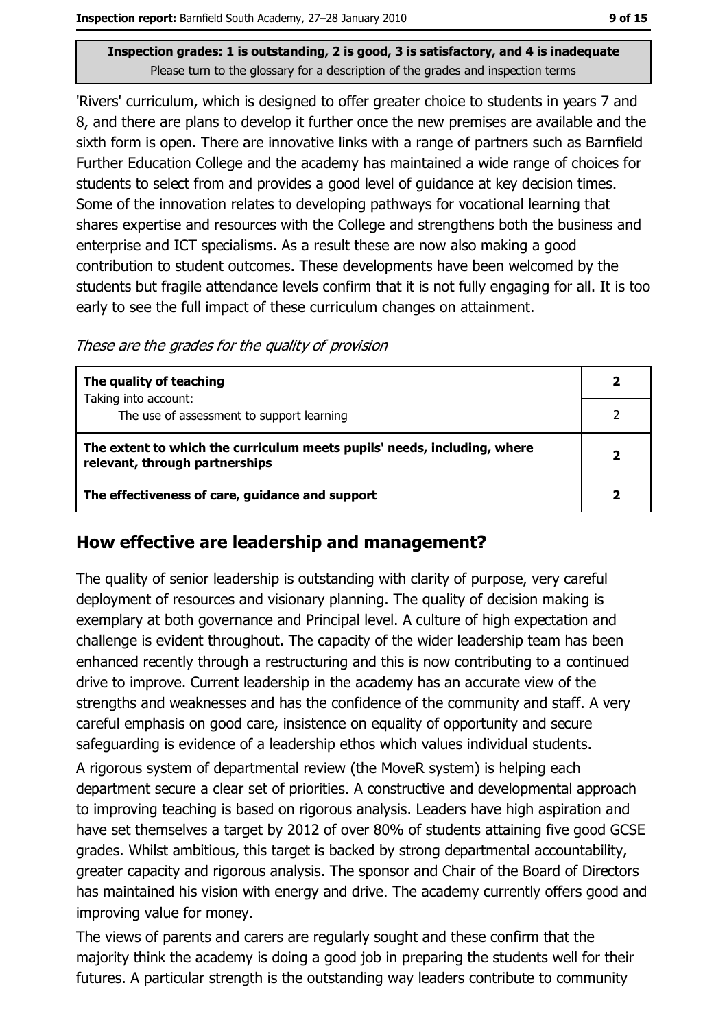'Rivers' curriculum, which is designed to offer greater choice to students in years 7 and 8, and there are plans to develop it further once the new premises are available and the sixth form is open. There are innovative links with a range of partners such as Barnfield Further Education College and the academy has maintained a wide range of choices for students to select from and provides a good level of quidance at key decision times. Some of the innovation relates to developing pathways for vocational learning that shares expertise and resources with the College and strengthens both the business and enterprise and ICT specialisms. As a result these are now also making a good contribution to student outcomes. These developments have been welcomed by the students but fragile attendance levels confirm that it is not fully engaging for all. It is too early to see the full impact of these curriculum changes on attainment.

These are the grades for the quality of provision

| The quality of teaching                                                  |  |
|--------------------------------------------------------------------------|--|
| Taking into account:<br>The use of assessment to support learning        |  |
| The extent to which the curriculum meets pupils' needs, including, where |  |
| relevant, through partnerships                                           |  |
| The effectiveness of care, guidance and support                          |  |

## How effective are leadership and management?

The quality of senior leadership is outstanding with clarity of purpose, very careful deployment of resources and visionary planning. The quality of decision making is exemplary at both governance and Principal level. A culture of high expectation and challenge is evident throughout. The capacity of the wider leadership team has been enhanced recently through a restructuring and this is now contributing to a continued drive to improve. Current leadership in the academy has an accurate view of the strengths and weaknesses and has the confidence of the community and staff. A very careful emphasis on good care, insistence on equality of opportunity and secure safeguarding is evidence of a leadership ethos which values individual students.

A rigorous system of departmental review (the MoveR system) is helping each department secure a clear set of priorities. A constructive and developmental approach to improving teaching is based on rigorous analysis. Leaders have high aspiration and have set themselves a target by 2012 of over 80% of students attaining five good GCSE grades. Whilst ambitious, this target is backed by strong departmental accountability, greater capacity and rigorous analysis. The sponsor and Chair of the Board of Directors has maintained his vision with energy and drive. The academy currently offers good and improving value for money.

The views of parents and carers are regularly sought and these confirm that the majority think the academy is doing a good job in preparing the students well for their futures. A particular strength is the outstanding way leaders contribute to community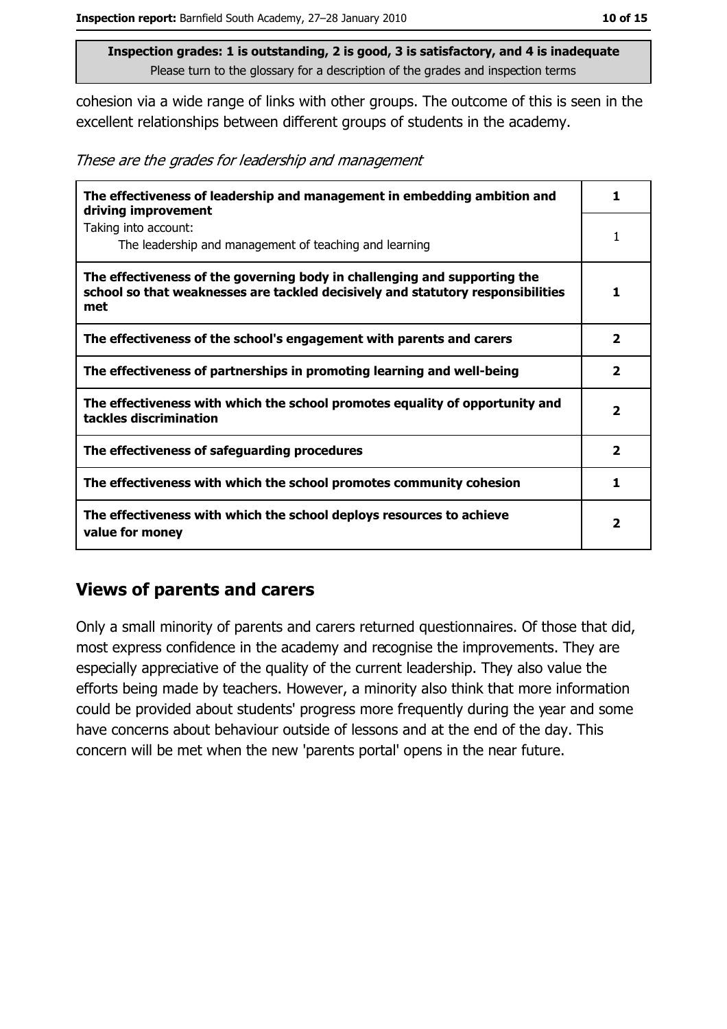cohesion via a wide range of links with other groups. The outcome of this is seen in the excellent relationships between different groups of students in the academy.

These are the grades for leadership and management

| The effectiveness of leadership and management in embedding ambition and<br>driving improvement                                                                     | 1.                      |
|---------------------------------------------------------------------------------------------------------------------------------------------------------------------|-------------------------|
| Taking into account:<br>The leadership and management of teaching and learning                                                                                      | 1                       |
| The effectiveness of the governing body in challenging and supporting the<br>school so that weaknesses are tackled decisively and statutory responsibilities<br>met | 1                       |
| The effectiveness of the school's engagement with parents and carers                                                                                                | $\overline{\mathbf{2}}$ |
| The effectiveness of partnerships in promoting learning and well-being                                                                                              | $\mathbf{2}$            |
| The effectiveness with which the school promotes equality of opportunity and<br>tackles discrimination                                                              | $\overline{\mathbf{2}}$ |
| The effectiveness of safeguarding procedures                                                                                                                        | $\mathbf{2}$            |
| The effectiveness with which the school promotes community cohesion                                                                                                 | 1                       |
| The effectiveness with which the school deploys resources to achieve<br>value for money                                                                             |                         |

#### **Views of parents and carers**

Only a small minority of parents and carers returned questionnaires. Of those that did, most express confidence in the academy and recognise the improvements. They are especially appreciative of the quality of the current leadership. They also value the efforts being made by teachers. However, a minority also think that more information could be provided about students' progress more frequently during the year and some have concerns about behaviour outside of lessons and at the end of the day. This concern will be met when the new 'parents portal' opens in the near future.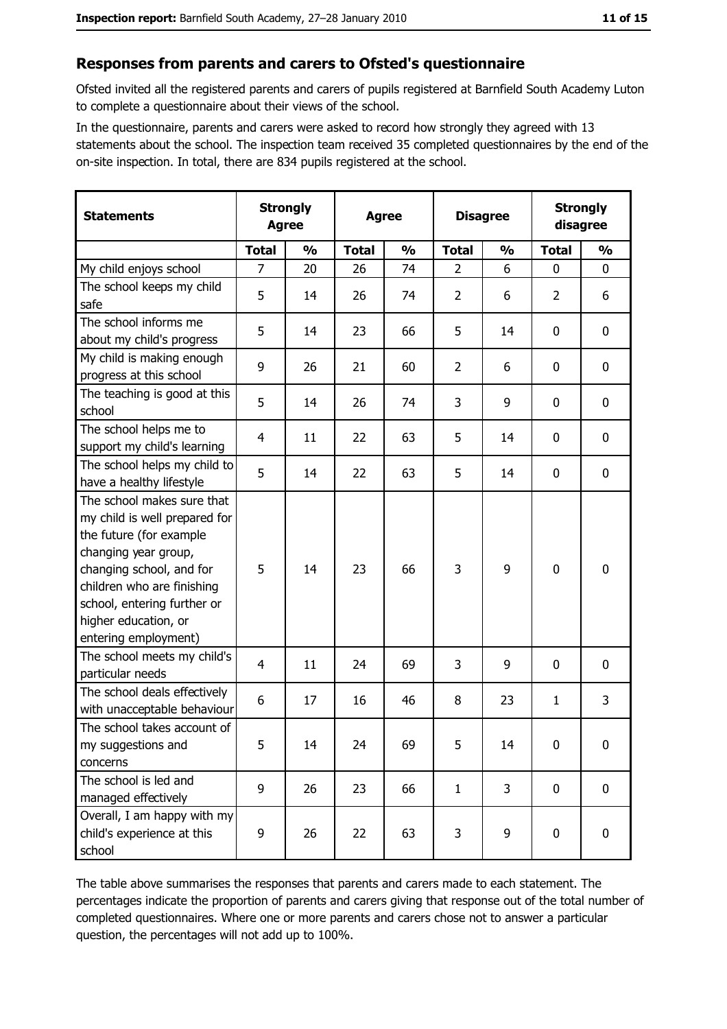#### Responses from parents and carers to Ofsted's questionnaire

Ofsted invited all the registered parents and carers of pupils registered at Barnfield South Academy Luton to complete a questionnaire about their views of the school.

In the questionnaire, parents and carers were asked to record how strongly they agreed with 13 statements about the school. The inspection team received 35 completed questionnaires by the end of the on-site inspection. In total, there are 834 pupils registered at the school.

| <b>Statements</b>                                                                                                                                                                                                                                       | <b>Strongly</b><br><b>Agree</b> |               | <b>Agree</b> |               |                | <b>Disagree</b> |                | <b>Strongly</b><br>disagree |  |
|---------------------------------------------------------------------------------------------------------------------------------------------------------------------------------------------------------------------------------------------------------|---------------------------------|---------------|--------------|---------------|----------------|-----------------|----------------|-----------------------------|--|
|                                                                                                                                                                                                                                                         | <b>Total</b>                    | $\frac{0}{0}$ | <b>Total</b> | $\frac{0}{0}$ | <b>Total</b>   | $\frac{0}{0}$   | <b>Total</b>   | $\frac{0}{0}$               |  |
| My child enjoys school                                                                                                                                                                                                                                  | $\overline{7}$                  | 20            | 26           | 74            | $\overline{2}$ | 6               | 0              | 0                           |  |
| The school keeps my child<br>safe                                                                                                                                                                                                                       | 5                               | 14            | 26           | 74            | $\overline{2}$ | 6               | $\overline{2}$ | 6                           |  |
| The school informs me<br>about my child's progress                                                                                                                                                                                                      | 5                               | 14            | 23           | 66            | 5              | 14              | 0              | 0                           |  |
| My child is making enough<br>progress at this school                                                                                                                                                                                                    | 9                               | 26            | 21           | 60            | $\overline{2}$ | 6               | 0              | $\mathbf 0$                 |  |
| The teaching is good at this<br>school                                                                                                                                                                                                                  | 5                               | 14            | 26           | 74            | 3              | 9               | 0              | $\mathbf 0$                 |  |
| The school helps me to<br>support my child's learning                                                                                                                                                                                                   | 4                               | 11            | 22           | 63            | 5              | 14              | 0              | 0                           |  |
| The school helps my child to<br>have a healthy lifestyle                                                                                                                                                                                                | 5                               | 14            | 22           | 63            | 5              | 14              | 0              | $\boldsymbol{0}$            |  |
| The school makes sure that<br>my child is well prepared for<br>the future (for example<br>changing year group,<br>changing school, and for<br>children who are finishing<br>school, entering further or<br>higher education, or<br>entering employment) | 5                               | 14            | 23           | 66            | 3              | 9               | 0              | $\mathbf 0$                 |  |
| The school meets my child's<br>particular needs                                                                                                                                                                                                         | $\overline{4}$                  | 11            | 24           | 69            | 3              | 9               | 0              | $\mathbf 0$                 |  |
| The school deals effectively<br>with unacceptable behaviour                                                                                                                                                                                             | 6                               | 17            | 16           | 46            | 8              | 23              | 1              | 3                           |  |
| The school takes account of<br>my suggestions and<br>concerns                                                                                                                                                                                           | 5                               | 14            | 24           | 69            | 5              | 14              | 0              | $\boldsymbol{0}$            |  |
| The school is led and<br>managed effectively                                                                                                                                                                                                            | 9                               | 26            | 23           | 66            | $\mathbf{1}$   | 3               | 0              | $\mathbf 0$                 |  |
| Overall, I am happy with my<br>child's experience at this<br>school                                                                                                                                                                                     | 9                               | 26            | 22           | 63            | 3              | 9               | 0              | 0                           |  |

The table above summarises the responses that parents and carers made to each statement. The percentages indicate the proportion of parents and carers giving that response out of the total number of completed questionnaires. Where one or more parents and carers chose not to answer a particular question, the percentages will not add up to 100%.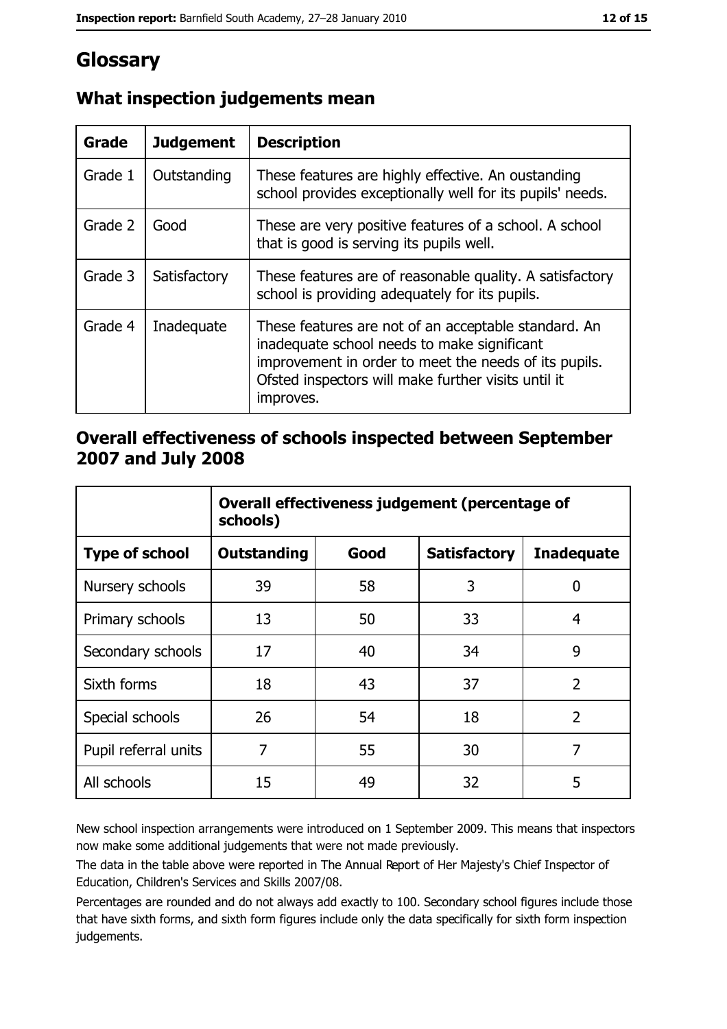# Glossary

| Grade   | <b>Judgement</b> | <b>Description</b>                                                                                                                                                                                                               |
|---------|------------------|----------------------------------------------------------------------------------------------------------------------------------------------------------------------------------------------------------------------------------|
| Grade 1 | Outstanding      | These features are highly effective. An oustanding<br>school provides exceptionally well for its pupils' needs.                                                                                                                  |
| Grade 2 | Good             | These are very positive features of a school. A school<br>that is good is serving its pupils well.                                                                                                                               |
| Grade 3 | Satisfactory     | These features are of reasonable quality. A satisfactory<br>school is providing adequately for its pupils.                                                                                                                       |
| Grade 4 | Inadequate       | These features are not of an acceptable standard. An<br>inadequate school needs to make significant<br>improvement in order to meet the needs of its pupils.<br>Ofsted inspectors will make further visits until it<br>improves. |

# What inspection judgements mean

## Overall effectiveness of schools inspected between September 2007 and July 2008

|                       | Overall effectiveness judgement (percentage of<br>schools) |      |                     |                   |
|-----------------------|------------------------------------------------------------|------|---------------------|-------------------|
| <b>Type of school</b> | <b>Outstanding</b>                                         | Good | <b>Satisfactory</b> | <b>Inadequate</b> |
| Nursery schools       | 39                                                         | 58   | 3                   | 0                 |
| Primary schools       | 13                                                         | 50   | 33                  | 4                 |
| Secondary schools     | 17                                                         | 40   | 34                  | 9                 |
| Sixth forms           | 18                                                         | 43   | 37                  | $\overline{2}$    |
| Special schools       | 26                                                         | 54   | 18                  | $\overline{2}$    |
| Pupil referral units  | 7                                                          | 55   | 30                  | 7                 |
| All schools           | 15                                                         | 49   | 32                  | 5                 |

New school inspection arrangements were introduced on 1 September 2009. This means that inspectors now make some additional judgements that were not made previously.

The data in the table above were reported in The Annual Report of Her Majesty's Chief Inspector of Education, Children's Services and Skills 2007/08.

Percentages are rounded and do not always add exactly to 100. Secondary school figures include those that have sixth forms, and sixth form figures include only the data specifically for sixth form inspection judgements.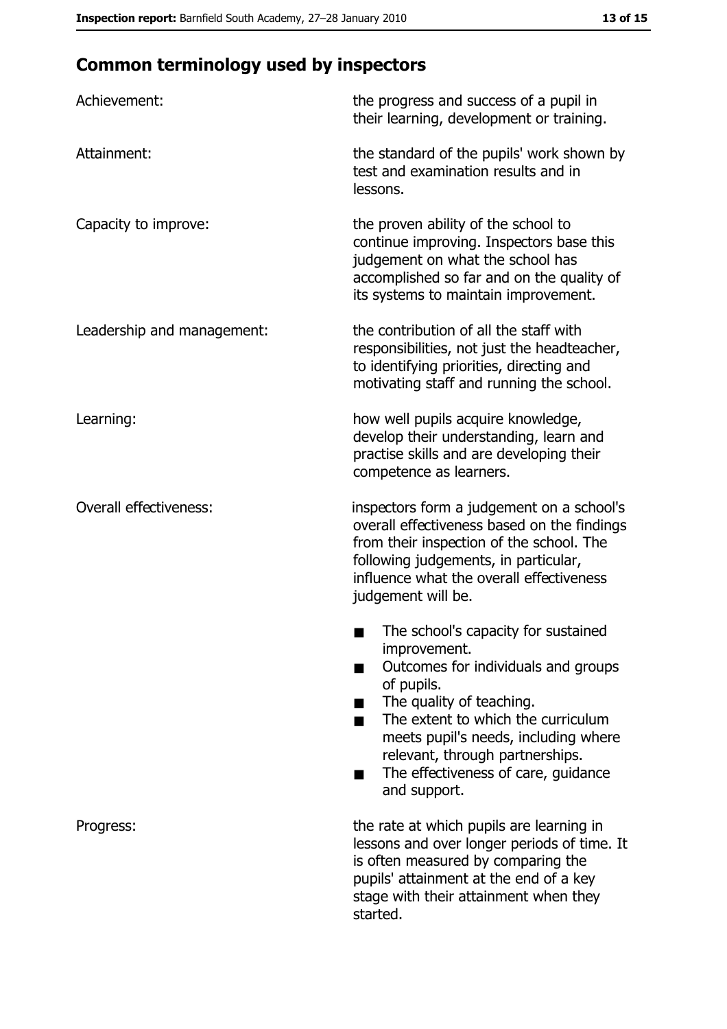# **Common terminology used by inspectors**

| Achievement:                  | the progress and success of a pupil in<br>their learning, development or training.                                                                                                                                                                                                                           |
|-------------------------------|--------------------------------------------------------------------------------------------------------------------------------------------------------------------------------------------------------------------------------------------------------------------------------------------------------------|
| Attainment:                   | the standard of the pupils' work shown by<br>test and examination results and in<br>lessons.                                                                                                                                                                                                                 |
| Capacity to improve:          | the proven ability of the school to<br>continue improving. Inspectors base this<br>judgement on what the school has<br>accomplished so far and on the quality of<br>its systems to maintain improvement.                                                                                                     |
| Leadership and management:    | the contribution of all the staff with<br>responsibilities, not just the headteacher,<br>to identifying priorities, directing and<br>motivating staff and running the school.                                                                                                                                |
| Learning:                     | how well pupils acquire knowledge,<br>develop their understanding, learn and<br>practise skills and are developing their<br>competence as learners.                                                                                                                                                          |
| <b>Overall effectiveness:</b> | inspectors form a judgement on a school's<br>overall effectiveness based on the findings<br>from their inspection of the school. The<br>following judgements, in particular,<br>influence what the overall effectiveness<br>judgement will be.                                                               |
|                               | The school's capacity for sustained<br>improvement.<br>Outcomes for individuals and groups<br>of pupils.<br>The quality of teaching.<br>The extent to which the curriculum<br>meets pupil's needs, including where<br>relevant, through partnerships.<br>The effectiveness of care, guidance<br>and support. |
| Progress:                     | the rate at which pupils are learning in<br>lessons and over longer periods of time. It<br>is often measured by comparing the<br>pupils' attainment at the end of a key<br>stage with their attainment when they<br>started.                                                                                 |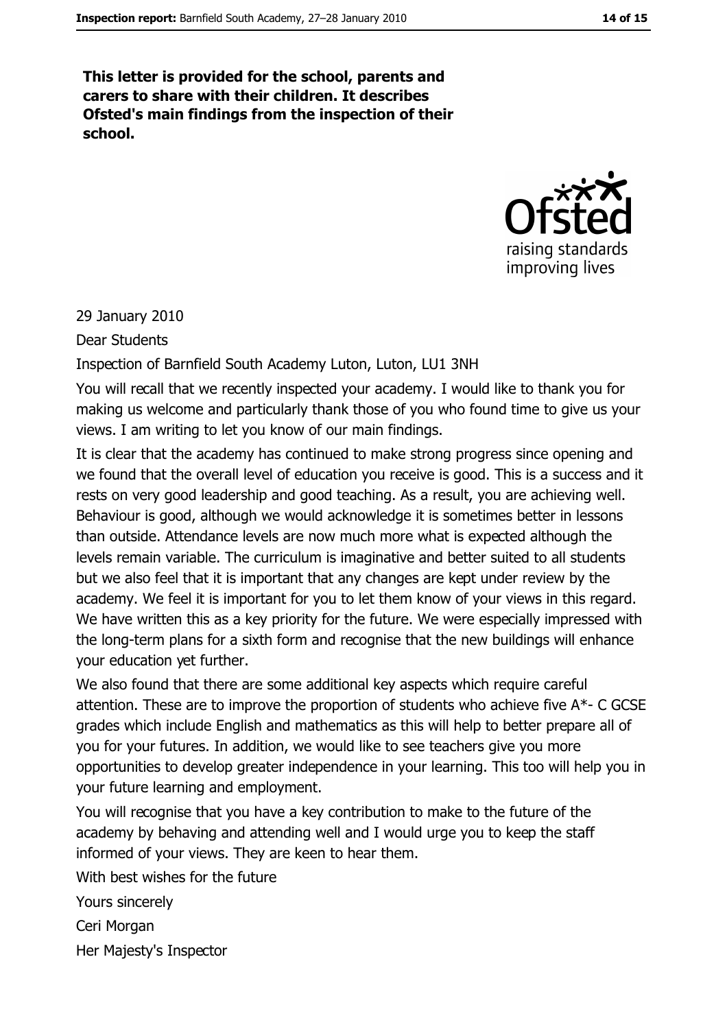This letter is provided for the school, parents and carers to share with their children. It describes Ofsted's main findings from the inspection of their school.



29 January 2010

**Dear Students** 

Inspection of Barnfield South Academy Luton, Luton, LU1 3NH

You will recall that we recently inspected your academy. I would like to thank you for making us welcome and particularly thank those of you who found time to give us your views. I am writing to let you know of our main findings.

It is clear that the academy has continued to make strong progress since opening and we found that the overall level of education you receive is good. This is a success and it rests on very good leadership and good teaching. As a result, you are achieving well. Behaviour is good, although we would acknowledge it is sometimes better in lessons than outside. Attendance levels are now much more what is expected although the levels remain variable. The curriculum is imaginative and better suited to all students but we also feel that it is important that any changes are kept under review by the academy. We feel it is important for you to let them know of your views in this regard. We have written this as a key priority for the future. We were especially impressed with the long-term plans for a sixth form and recognise that the new buildings will enhance your education yet further.

We also found that there are some additional key aspects which require careful attention. These are to improve the proportion of students who achieve five A\*- C GCSE grades which include English and mathematics as this will help to better prepare all of you for your futures. In addition, we would like to see teachers give you more opportunities to develop greater independence in your learning. This too will help you in your future learning and employment.

You will recognise that you have a key contribution to make to the future of the academy by behaving and attending well and I would urge you to keep the staff informed of your views. They are keen to hear them.

With hest wishes for the future Yours sincerely Ceri Morgan Her Majesty's Inspector